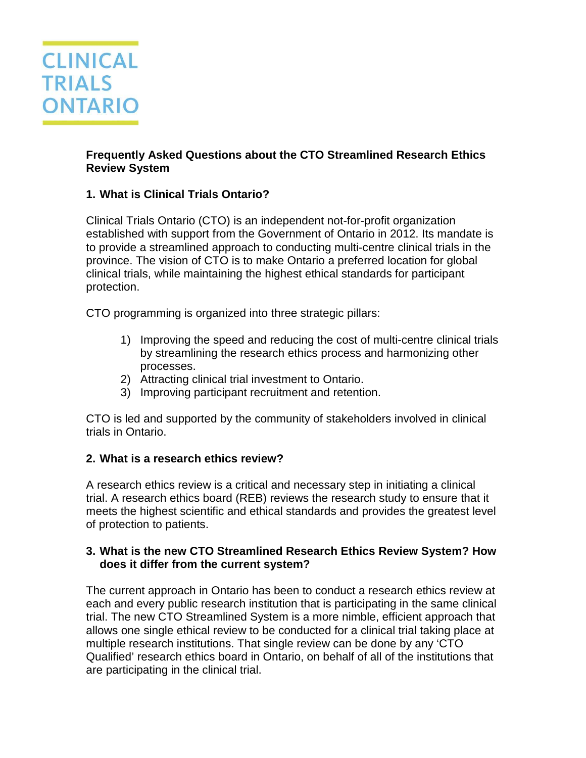

### **Frequently Asked Questions about the CTO Streamlined Research Ethics Review System**

# **1. What is Clinical Trials Ontario?**

Clinical Trials Ontario (CTO) is an independent not-for-profit organization established with support from the Government of Ontario in 2012. Its mandate is to provide a streamlined approach to conducting multi-centre clinical trials in the province. The vision of CTO is to make Ontario a preferred location for global clinical trials, while maintaining the highest ethical standards for participant protection.

CTO programming is organized into three strategic pillars:

- 1) Improving the speed and reducing the cost of multi-centre clinical trials by streamlining the research ethics process and harmonizing other processes.
- 2) Attracting clinical trial investment to Ontario.
- 3) Improving participant recruitment and retention.

CTO is led and supported by the community of stakeholders involved in clinical trials in Ontario.

# **2. What is a research ethics review?**

A research ethics review is a critical and necessary step in initiating a clinical trial. A research ethics board (REB) reviews the research study to ensure that it meets the highest scientific and ethical standards and provides the greatest level of protection to patients.

### **3. What is the new CTO Streamlined Research Ethics Review System? How does it differ from the current system?**

The current approach in Ontario has been to conduct a research ethics review at each and every public research institution that is participating in the same clinical trial. The new CTO Streamlined System is a more nimble, efficient approach that allows one single ethical review to be conducted for a clinical trial taking place at multiple research institutions. That single review can be done by any 'CTO Qualified' research ethics board in Ontario, on behalf of all of the institutions that are participating in the clinical trial.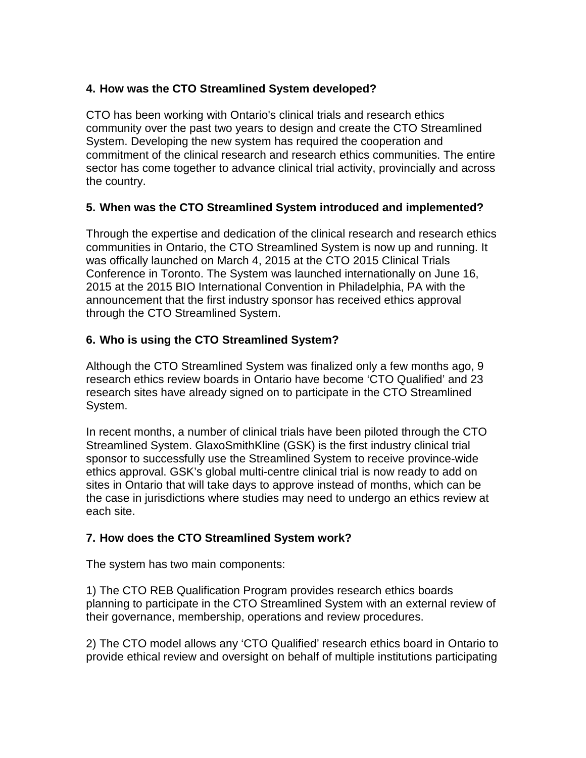# **4. How was the CTO Streamlined System developed?**

CTO has been working with Ontario's clinical trials and research ethics community over the past two years to design and create the CTO Streamlined System. Developing the new system has required the cooperation and commitment of the clinical research and research ethics communities. The entire sector has come together to advance clinical trial activity, provincially and across the country.

### **5. When was the CTO Streamlined System introduced and implemented?**

Through the expertise and dedication of the clinical research and research ethics communities in Ontario, the CTO Streamlined System is now up and running. It was offically launched on March 4, 2015 at the CTO 2015 Clinical Trials Conference in Toronto. The System was launched internationally on June 16, 2015 at the 2015 BIO International Convention in Philadelphia, PA with the announcement that the first industry sponsor has received ethics approval through the CTO Streamlined System.

# **6. Who is using the CTO Streamlined System?**

Although the CTO Streamlined System was finalized only a few months ago, 9 research ethics review boards in Ontario have become 'CTO Qualified' and 23 research sites have already signed on to participate in the CTO Streamlined System.

In recent months, a number of clinical trials have been piloted through the CTO Streamlined System. GlaxoSmithKline (GSK) is the first industry clinical trial sponsor to successfully use the Streamlined System to receive province-wide ethics approval. GSK's global multi-centre clinical trial is now ready to add on sites in Ontario that will take days to approve instead of months, which can be the case in jurisdictions where studies may need to undergo an ethics review at each site.

### **7. How does the CTO Streamlined System work?**

The system has two main components:

1) The CTO REB Qualification Program provides research ethics boards planning to participate in the CTO Streamlined System with an external review of their governance, membership, operations and review procedures.

2) The CTO model allows any 'CTO Qualified' research ethics board in Ontario to provide ethical review and oversight on behalf of multiple institutions participating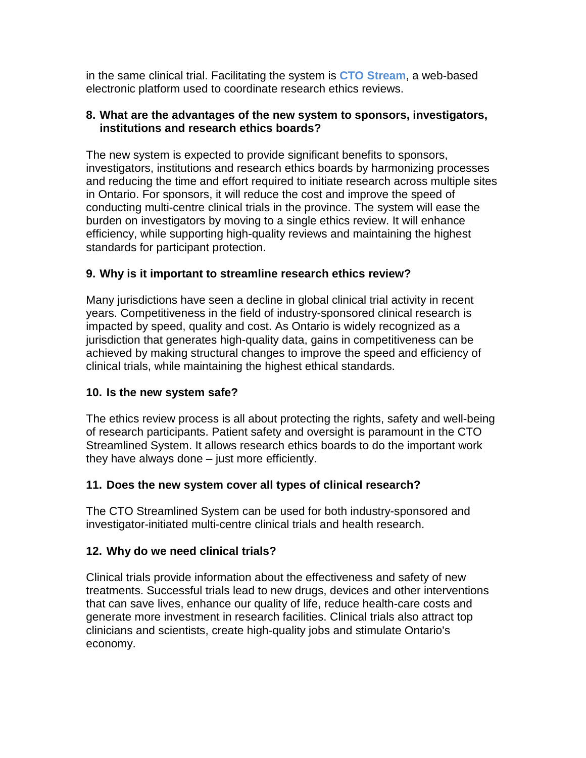in the same clinical trial. Facilitating the system is **CTO Stream**, a web-based electronic platform used to coordinate research ethics reviews.

#### **8. What are the advantages of the new system to sponsors, investigators, institutions and research ethics boards?**

The new system is expected to provide significant benefits to sponsors, investigators, institutions and research ethics boards by harmonizing processes and reducing the time and effort required to initiate research across multiple sites in Ontario. For sponsors, it will reduce the cost and improve the speed of conducting multi-centre clinical trials in the province. The system will ease the burden on investigators by moving to a single ethics review. It will enhance efficiency, while supporting high-quality reviews and maintaining the highest standards for participant protection.

# **9. Why is it important to streamline research ethics review?**

Many jurisdictions have seen a decline in global clinical trial activity in recent years. Competitiveness in the field of industry-sponsored clinical research is impacted by speed, quality and cost. As Ontario is widely recognized as a jurisdiction that generates high-quality data, gains in competitiveness can be achieved by making structural changes to improve the speed and efficiency of clinical trials, while maintaining the highest ethical standards.

### **10. Is the new system safe?**

The ethics review process is all about protecting the rights, safety and well-being of research participants. Patient safety and oversight is paramount in the CTO Streamlined System. It allows research ethics boards to do the important work they have always done – just more efficiently.

# **11. Does the new system cover all types of clinical research?**

The CTO Streamlined System can be used for both industry-sponsored and investigator-initiated multi-centre clinical trials and health research.

# **12. Why do we need clinical trials?**

Clinical trials provide information about the effectiveness and safety of new treatments. Successful trials lead to new drugs, devices and other interventions that can save lives, enhance our quality of life, reduce health-care costs and generate more investment in research facilities. Clinical trials also attract top clinicians and scientists, create high-quality jobs and stimulate Ontario's economy.